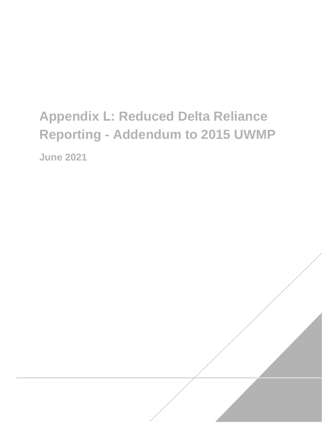# **Appendix L: Reduced Delta Reliance Reporting - Addendum to 2015 UWMP June 2021**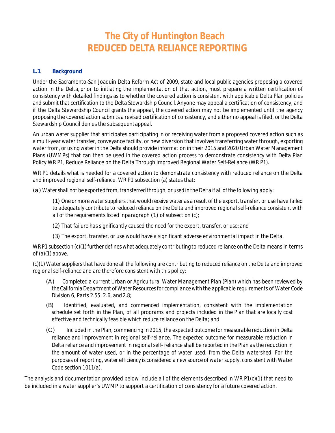## **The City of Huntington Beach REDUCED DELTA RELIANCE REPORTING**

#### **L.1 Background**

Under the Sacramento-San Joaquin Delta Reform Act of 2009, state and local public agencies proposing a covered action in the Delta, prior to initiating the implementation of that action, must prepare a written certification of consistency with detailed findings as to whether the covered action is consistent with applicable Delta Plan policies and submit that certification to the Delta Stewardship Council.Anyone may appeal a certification of consistency, and if the Delta Stewardship Council grants the appeal, the covered action may not be implemented until the agency proposing the covered action submits a revised certification of consistency, and either no appeal is filed, or the Delta Stewardship Council denies the subsequentappeal.

An urban water supplier that anticipates participating in or receiving water from a proposed covered action such as a multi-year water transfer, conveyance facility, or new diversion that involves transferring water through, exporting water from, or using water in the Delta should provide information in their 2015 and 2020 Urban Water Management Plans (UWMPs) that can then be used in the covered action process to demonstrate consistency with Delta Plan Policy WR P1, Reduce Reliance on the Delta Through Improved Regional Water Self-Reliance (WR P1).

WR P1 details what is needed for a covered action to demonstrate consistency with reduced reliance on the Delta and improved regional self-reliance. WR P1 subsection (a) states that:

*(a) Watershall not be exported from,transferred through, or used in the Delta if all ofthe following apply:*

*(1) One ormore watersuppliersthat would receive water as a result of the export, transfer, or use have failed to adequately contribute to reduced reliance on the Delta and improved regional self-reliance consistent with all of the requirements listed inparagraph (1) of subsection (c);*

- *(2) That failure has significantly caused the need for the export, transfer, or use; and*
- *(3) The export, transfer, or use would have a significant adverse environmental impact in the Delta.*

WR P1 subsection (c)(1) further defines what adequately contributing to reduced reliance on the Delta means in terms of (a)(1) above.

(c)(1) Water suppliers that have done all the following are contributing to reduced reliance on the Delta and improved *regional self-reliance and are therefore consistent with this policy:*

- *(A) Completed a current Urban or Agricultural Water Management Plan (Plan) which has been reviewed by the CaliforniaDepartment ofWater Resourcesfor compliance with the applicable requirements of Water Code Division 6, Parts 2.55, 2.6, and 2.8;*
- *(B) Identified, evaluated, and commenced implementation, consistent with the implementation schedule set forth in the Plan, of all programs and projects included in the Plan that are locally cost effective and technically feasible which reduce reliance on the Delta; and*
- *(C) Included in the Plan, commencing in 2015, the expected outcome for measurable reduction in Delta reliance and improvement in regional self-reliance. The expected outcome for measurable reduction in Delta reliance and improvement in regional self- reliance shall be reported in the Plan as the reduction in the amount of water used, or in the percentage of water used, from the Delta watershed. For the purposes of reporting, water efficiency is considered a new source of watersupply, consistent with Water Code section 1011(a).*

The analysis and documentation provided below include all of the elements described in WR P1(c)(1) that need to be included in a water supplier's UWMP to support a certification of consistency for a future covered action.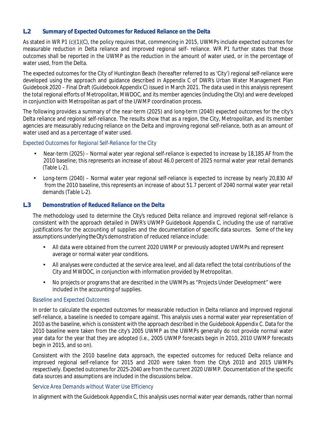#### **L.2 Summary of Expected Outcomes for Reduced Reliance on the Delta**

As stated in WR P1 (c)(1)(C), the policy requires that, commencing in 2015, UWMPs include expected outcomes for measurable reduction in Delta reliance and improved regional self- reliance. WR P1 further states that those outcomes shall be reported in the UWMP as the reduction in the amount of water used, or in the percentage of water used, from the Delta.

The expected outcomes for the City of Huntington Beach (hereafter referred to as 'City') regional self-reliance were developed using the approach and guidance described in Appendix C of DWR's Urban Water Management Plan Guidebook 2020 – Final Draft (Guidebook Appendix C) issued in March 2021. The data used in this analysis represent the total regional efforts of Metropolitan, MWDOC, and its member agencies (including the City) and were developed in conjunction with Metropolitan as part of the UWMP coordination process.

The following provides a summary of the near-term (2025) and long-term (2040) expected outcomes for the city's Delta reliance and regional self-reliance. The results show that as a region, the City, Metropolitan, and its member agencies are measurably reducing reliance on the Delta and improving regional self-reliance, both as an amount of water used and as a percentage of water used.

#### *Expected Outcomes for Regional Self-Reliance for the City*

- Near-term (2025) Normal water year regional self-reliance is expected to increase by 18,185 AF from the 2010 baseline; this represents an increase of about 46.0 percent of 2025 normal water year retail demands (Table L-2).
- Long-term (2040) Normal water year regional self-reliance is expected to increase by nearly 20,830 AF from the 2010 baseline, this represents an increase of about 51.7 percent of 2040 normal water year retail demands (Table L-2).

#### **L.3 Demonstration of Reduced Reliance on the Delta**

The methodology used to determine the City's reduced Delta reliance and improved regional self-reliance is consistent with the approach detailed in DWR's UWMP Guidebook Appendix C, including the use of narrative justifications for the accounting of supplies and the documentation of specific data sources. Some of the key assumptions underlying theCity's demonstration of reduced reliance include:

- All data were obtained from the current 2020 UWMP or previously adopted UWMPs and represent average or normal water year conditions.
- All analyses were conducted at the service area level, and all data reflect the total contributions of the City and MWDOC, in conjunction with information provided by Metropolitan.
- No projects or programs that are described in the UWMPs as "Projects Under Development" were included in the accounting of supplies.

#### *Baseline and Expected Outcomes*

In order to calculate the expected outcomes for measurable reduction in Delta reliance and improved regional self-reliance, a baseline is needed to compare against. This analysis uses a normal water year representation of 2010 as the baseline, which is consistent with the approach described in the Guidebook Appendix C. Data for the 2010 baseline were taken from the city's 2005 UWMP as the UWMPs generally do not provide normal water year data for the year that they are adopted (i.e., 2005 UWMP forecasts begin in 2010, 2010 UWMP forecasts begin in 2015, and so on).

Consistent with the 2010 baseline data approach, the expected outcomes for reduced Delta reliance and improved regional self-reliance for 2015 and 2020 were taken from the City's 2010 and 2015 UWMPs respectively. Expected outcomes for 2025-2040 are from the current 2020 UWMP. Documentation of the specific data sources and assumptions are included in the discussions below.

#### *Service Area Demands without Water Use Efficiency*

In alignment with the Guidebook Appendix C, this analysis uses normal water year demands, rather than normal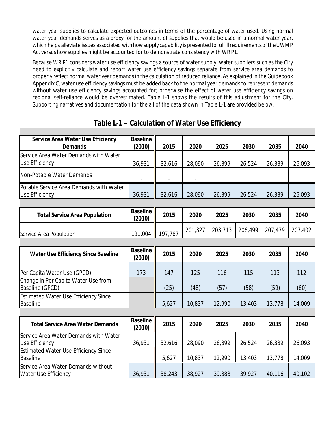water year supplies to calculate expected outcomes in terms of the percentage of water used. Using normal water year demands serves as a proxy for the amount of supplies that would be used in a normal water year, which helps alleviate issues associated with how supply capability is presented to fulfill requirements of the UWMP Act versus howsupplies might be accounted for to demonstrate consistency with WR P1.

Because WR P1 considers water use efficiency savings a source of water supply, water suppliers such as the City need to explicitly calculate and report water use efficiency savings separate from service area demands to properly reflect normal water year demandsin the calculation of reduced reliance. As explained in the Guidebook Appendix C, water use efficiency savings must be added back to the normal year demands to represent demands without water use efficiency savings accounted for; otherwise the effect of water use efficiency savings on regional self-reliance would be overestimated. Table L-1 shows the results of this adjustment for the City. Supporting narratives and documentation for the all of the data shown in Table L-1 are provided below.

| <b>Service Area Water Use Efficiency</b><br><b>Demands</b>           | <b>Baseline</b><br>(2010) | 2015    | 2020                     | 2025    | 2030    | 2035    | 2040    |
|----------------------------------------------------------------------|---------------------------|---------|--------------------------|---------|---------|---------|---------|
| <b>Service Area Water Demands with Water</b>                         |                           |         |                          |         |         |         |         |
| <b>Use Efficiency</b>                                                | 36,931                    | 32,616  | 28,090                   | 26,399  | 26,524  | 26,339  | 26,093  |
| <b>Non-Potable Water Demands</b>                                     | $\overline{\phantom{a}}$  |         | $\overline{\phantom{a}}$ |         |         |         |         |
| Potable Service Area Demands with Water                              |                           |         |                          |         |         |         |         |
| <b>Use Efficiency</b>                                                | 36,931                    | 32,616  | 28,090                   | 26,399  | 26,524  | 26,339  | 26,093  |
|                                                                      |                           |         |                          |         |         |         |         |
| <b>Total Service Area Population</b>                                 | <b>Baseline</b><br>(2010) | 2015    | 2020                     | 2025    | 2030    | 2035    | 2040    |
| <b>Service Area Population</b>                                       | 191,004                   | 197,787 | 201,327                  | 203,713 | 206,499 | 207,479 | 207,402 |
|                                                                      |                           |         |                          |         |         |         |         |
| <b>Water Use Efficiency Since Baseline</b>                           | <b>Baseline</b><br>(2010) | 2015    | 2020                     | 2025    | 2030    | 2035    | 2040    |
|                                                                      |                           |         |                          |         |         |         |         |
| Per Capita Water Use (GPCD)                                          | 173                       | 147     | 125                      | 116     | 115     | 113     | 112     |
| <b>Change in Per Capita Water Use from</b><br><b>Baseline (GPCD)</b> |                           | (25)    | (48)                     | (57)    | (58)    | (59)    | (60)    |
| <b>Estimated Water Use Efficiency Since</b>                          |                           |         |                          |         |         |         |         |
| <b>Baseline</b>                                                      |                           | 5,627   | 10,837                   | 12,990  | 13,403  | 13,778  | 14,009  |
|                                                                      |                           |         |                          |         |         |         |         |
| <b>Total Service Area Water Demands</b>                              | <b>Baseline</b><br>(2010) | 2015    | 2020                     | 2025    | 2030    | 2035    | 2040    |
| <b>Service Area Water Demands with Water</b>                         |                           |         |                          |         |         |         |         |
| <b>Use Efficiency</b>                                                | 36,931                    | 32,616  | 28,090                   | 26,399  | 26,524  | 26,339  | 26,093  |
| <b>Estimated Water Use Efficiency Since</b>                          |                           |         |                          |         |         |         |         |
| <b>Baseline</b>                                                      |                           | 5,627   | 10,837                   | 12,990  | 13,403  | 13,778  | 14,009  |
| <b>Service Area Water Demands without</b>                            |                           |         |                          |         |         |         |         |
| <b>Water Use Efficiency</b>                                          | 36,931                    | 38,243  | 38,927                   | 39,388  | 39,927  | 40,116  | 40,102  |

## **Table L-1 – Calculation of Water Use Efficiency**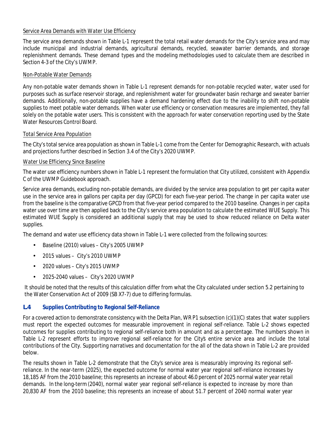#### *Service Area Demands with Water Use Efficiency*

The service area demands shown in Table L-1 represent the total retail water demands for the City's service area and may include municipal and industrial demands, agricultural demands, recycled, seawater barrier demands, and storage replenishment demands. These demand types and the modeling methodologies used to calculate them are described in Section 4-3 of the City's UWMP.

#### *Non-Potable Water Demands*

Any non-potable water demands shown in Table L-1 represent demands for non-potable recycled water, water used for purposes such as surface reservoir storage, and replenishment water for groundwater basin recharge and sweater barrier demands. Additionally, non-potable supplies have a demand hardening effect due to the inability to shift non-potable supplies to meet potable water demands. When water use efficiency or conservation measures are implemented, they fall solely on the potable water users. This is consistent with the approach for water conservation reporting used by the State Water Resources Control Board.

#### *Total Service Area Population*

The City's total service area population as shown in Table L-1 come from the Center for Demographic Research, with actuals and projections further described in Section 3.4 of the City's 2020 UWMP.

#### *Water Use Efficiency Since Baseline*

The water use efficiency numbers shown in Table L-1 represent the formulation that City utilized, consistent with Appendix C of the UWMP Guidebook approach.

Service area demands, excluding non-potable demands, are divided by the service area population to get per capita water use in the service area in gallons per capita per day (GPCD) for each five-year period. The change in per capita water use from the baseline is the comparative GPCD from that five-year period compared to the 2010 baseline. Changes in per capita water use over time are then applied back to the City's service area population to calculate the estimated WUE Supply. This estimated WUE Supply is considered an additional supply that may be used to show reduced reliance on Delta water supplies.

The demand and water use efficiency data shown in Table L-1 were collected from the following sources:

- Baseline (2010) values City's 2005 UWMP
- 2015 values City's 2010 UWMP
- 2020 values City's 2015 UWMP
- 2025-2040 values City's 2020 UWMP

It should be noted that the results of this calculation differ from what the City calculated under section 5.2 pertaining to the Water Conservation Act of 2009 (SB X7-7) due to differing formulas.

#### **L.4 Supplies Contributing to Regional Self-Reliance**

For a covered action to demonstrate consistency with the Delta Plan, WR P1 subsection  $(c)(1)(C)$  states that water suppliers must report the expected outcomes for measurable improvement in regional self-reliance. Table L-2 shows expected outcomes for supplies contributing to regional self-reliance both in amount and as a percentage. The numbers shown in Table L-2 represent efforts to improve regional self-reliance for the City's entire service area and include the total contributions of the City. Supporting narratives and documentation for the all of the data shown in Table L-2 are provided below.

The results shown in Table L-2 demonstrate that the City's service area is measurably improving its regional selfreliance. In the near-term (2025), the expected outcome for normal water year regional self-reliance increases by 18,185 AF from the 2010 baseline; this represents an increase of about 46.0 percent of 2025 normal water year retail demands. In the long-term(2040), normal water year regional self-reliance is expected to increase by more than 20,830 AF from the 2010 baseline; this represents an increase of about 51.7 percent of 2040 normal water year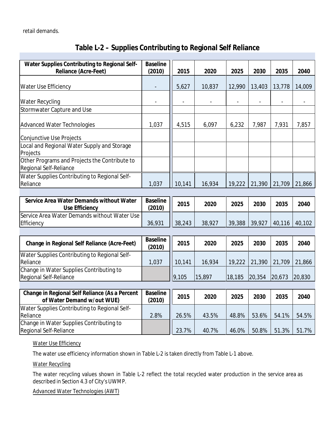retail demands.

| <b>Water Supplies Contributing to Regional Self-</b>                                | <b>Baseline</b>          |                              |                          |                          |                          |                          |                          |
|-------------------------------------------------------------------------------------|--------------------------|------------------------------|--------------------------|--------------------------|--------------------------|--------------------------|--------------------------|
| <b>Reliance (Acre-Feet)</b>                                                         | (2010)                   | 2015                         | 2020                     | 2025                     | 2030                     | 2035                     | 2040                     |
|                                                                                     |                          |                              |                          |                          |                          |                          |                          |
| <b>Water Use Efficiency</b>                                                         | $\overline{\phantom{a}}$ | 5,627                        | 10,837                   | 12,990                   | 13,403                   | 13,778                   | 14,009                   |
|                                                                                     |                          |                              |                          |                          |                          |                          |                          |
| <b>Water Recycling</b>                                                              | $\overline{\phantom{a}}$ | $\qquad \qquad \blacksquare$ | $\overline{\phantom{a}}$ | $\overline{\phantom{a}}$ | $\overline{\phantom{a}}$ | $\overline{\phantom{a}}$ | $\overline{\phantom{a}}$ |
| <b>Stormwater Capture and Use</b>                                                   |                          |                              |                          |                          |                          |                          |                          |
|                                                                                     |                          |                              |                          |                          |                          |                          |                          |
| <b>Advanced Water Technologies</b>                                                  | 1,037                    | 4,515                        | 6,097                    | 6,232                    | 7,987                    | 7,931                    | 7,857                    |
|                                                                                     |                          |                              |                          |                          |                          |                          |                          |
| <b>Conjunctive Use Projects</b>                                                     |                          |                              |                          |                          |                          |                          |                          |
| <b>Local and Regional Water Supply and Storage</b>                                  |                          |                              |                          |                          |                          |                          |                          |
| Projects                                                                            |                          |                              |                          |                          |                          |                          |                          |
| Other Programs and Projects the Contribute to                                       |                          |                              |                          |                          |                          |                          |                          |
| <b>Regional Self-Reliance</b>                                                       |                          |                              |                          |                          |                          |                          |                          |
| <b>Water Supplies Contributing to Regional Self-</b>                                |                          |                              |                          |                          |                          |                          |                          |
| Reliance                                                                            | 1,037                    | 10,141                       | 16,934                   | 19,222                   | 21,390                   | 21,709                   | 21,866                   |
|                                                                                     |                          |                              |                          |                          |                          |                          |                          |
|                                                                                     |                          |                              |                          |                          |                          |                          |                          |
| <b>Service Area Water Demands without Water</b>                                     | <b>Baseline</b>          |                              |                          |                          |                          |                          |                          |
|                                                                                     | (2010)                   | 2015                         | 2020                     | 2025                     | 2030                     | 2035                     | 2040                     |
| <b>Use Efficiency</b>                                                               |                          |                              |                          |                          |                          |                          |                          |
| <b>Service Area Water Demands without Water Use</b><br><b>Efficiency</b>            | 36,931                   | 38,243                       | 38,927                   | 39,388                   | 39,927                   | 40,116                   | 40,102                   |
|                                                                                     |                          |                              |                          |                          |                          |                          |                          |
|                                                                                     |                          |                              |                          |                          |                          |                          |                          |
| <b>Change in Regional Self Reliance (Acre-Feet)</b>                                 | <b>Baseline</b>          | 2015                         | 2020                     | 2025                     | 2030                     | 2035                     | 2040                     |
|                                                                                     | (2010)                   |                              |                          |                          |                          |                          |                          |
| <b>Water Supplies Contributing to Regional Self-</b><br>Reliance                    |                          |                              |                          |                          |                          |                          |                          |
|                                                                                     | 1,037                    | 10,141                       | 16,934                   | 19,222                   | 21,390                   | 21,709                   | 21,866                   |
| <b>Change in Water Supplies Contributing to</b><br><b>Regional Self-Reliance</b>    |                          | 9,105                        | 15,897                   | 18,185                   | 20,354                   | 20,673                   | 20,830                   |
|                                                                                     |                          |                              |                          |                          |                          |                          |                          |
|                                                                                     | <b>Baseline</b>          |                              |                          |                          |                          |                          |                          |
| <b>Change in Regional Self Reliance (As a Percent</b><br>of Water Demand w/out WUE) | (2010)                   | 2015                         | 2020                     | 2025                     | 2030                     | 2035                     | 2040                     |
|                                                                                     |                          |                              |                          |                          |                          |                          |                          |
| <b>Water Supplies Contributing to Regional Self-</b><br><b>Reliance</b>             | 2.8%                     | 26.5%                        | 43.5%                    | 48.8%                    | 53.6%                    | 54.1%                    | 54.5%                    |
|                                                                                     |                          |                              |                          |                          |                          |                          |                          |
| <b>Change in Water Supplies Contributing to</b><br><b>Regional Self-Reliance</b>    |                          | 23.7%                        | 40.7%                    | 46.0%                    | 50.8%                    | 51.3%                    | 51.7%                    |

## **Table L-2 – Supplies Contributing to Regional Self Reliance**

*Water Use Efficiency*

The water use efficiency information shown in Table L-2 is taken directly from Table L-1 above.

*Water Recycling*

The water recycling values shown in Table L-2 reflect the total recycled water production in the service area as described in Section 4.3 of City's UWMP.

*Advanced Water Technologies (AWT)*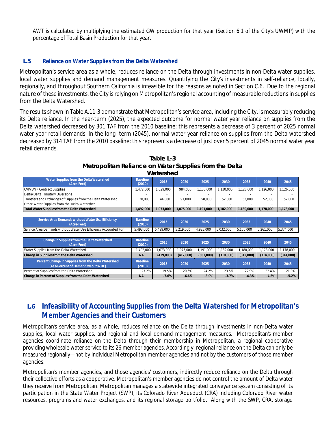AWT is calculated by multiplying the estimated GW production for that year (Section 6.1 of the City's UWMP) with the percentage of Total Basin Production for that year.

#### **L.5 Reliance on Water Supplies from the Delta Watershed**

Metropolitan's service area as a whole, reduces reliance on the Delta through investments in non-Delta water supplies, local water supplies and demand management measures. Quantifying the City's investments in self-reliance, locally, regionally, and throughout Southern California is infeasible for the reasons as noted in Section C.6. Due to the regional nature of these investments, the City isrelying on Metropolitan's regional accounting of measurable reductions in supplies from the Delta Watershed.

The results shown in Table A.11-3 demonstrate that Metropolitan's service area, including the City, is measurably reducing its Delta reliance. In the near-term (2025), the expected outcome for normal water year reliance on supplies from the Delta watershed decreased by 301 TAF from the 2010 baseline; this represents a decrease of 3 percent of 2025 normal water year retail demands. In the long- term (2045), normal water year reliance on supplies from the Delta watershed decreased by 314 TAF from the 2010 baseline; this represents a decrease of just over 5 percent of 2045 normal water year retail demands.

|                                                                                                  |                           | wajersheu |           |           |                          |           |           |           |
|--------------------------------------------------------------------------------------------------|---------------------------|-----------|-----------|-----------|--------------------------|-----------|-----------|-----------|
| <b>Water Supplies from the Delta Watershed</b><br>(Acre-Feet)                                    | <b>Baseline</b><br>(2010) | 2015      | 2020      | 2025      | 2030                     | 2035      | 2040      | 2045      |
| <b>CVP/SWP Contract Supplies</b>                                                                 | 1,472,000                 | 1.029.000 | 984.000   | 1,133,000 | 1,130,000                | 1.128.000 | 1,126,000 | 1,126,000 |
| <b>Delta/Delta Tributary Diversions</b>                                                          |                           |           |           | ٠         | $\overline{\phantom{a}}$ |           |           |           |
| <b>Transfers and Exchanges of Supplies from the Delta Watershed</b>                              | 20.000                    | 44.000    | 91.000    | 58.000    | 52,000                   | 52,000    | 52,000    | 52,000    |
| Other Water Supplies from the Delta Watershed                                                    |                           |           |           |           |                          |           |           |           |
| <b>Total Water Supplies from the Delta Watershed</b>                                             | 1,492,000                 | 1.073.000 | 1,075,000 | 1,191,000 | 1,182,000                | 1,180,000 | 1.178.000 | 1,178,000 |
|                                                                                                  |                           |           |           |           |                          |           |           |           |
| <b>Service Area Demands without Water Use Efficiency</b><br>(Acre-Feet)                          | <b>Baseline</b><br>(2010) | 2015      | 2020      | 2025      | 2030                     | 2035      | 2040      | 2045      |
| Service Area Demands without Water Use Efficiency Accounted For                                  | 5,493,000                 | 5,499,000 | 5,219,000 | 4,925,000 | 5,032,000                | 5,156,000 | 5,261,000 | 5,374,000 |
|                                                                                                  |                           |           |           |           |                          |           |           |           |
| <b>Change in Supplies from the Delta Watershed</b><br>(Acre-Feet)                                | <b>Baseline</b><br>(2010) | 2015      | 2020      | 2025      | 2030                     | 2035      | 2040      | 2045      |
| Water Supplies from the Delta Watershed                                                          | 1,492,000                 | 1,073,000 | 1,075,000 | 1,191,000 | 1,182,000                | 1,180,000 | 1,178,000 | 1,178,000 |
| <b>Change in Supplies from the Delta Watershed</b>                                               | <b>NA</b>                 | (419,000) | (417,000) | (301,000) | (310,000)                | (312,000) | (314,000) | (314,000) |
| <b>Percent Change in Supplies from the Delta Watershed</b><br>(As a Percent of Demand w/out WUE) | <b>Baseline</b><br>(2010) | 2015      | 2020      | 2025      | 2030                     | 2035      | 2040      | 2045      |
| Percent of Supplies from the Delta Watershed                                                     | 27.2%                     | 19.5%     | 20.6%     | 24.2%     | 23.5%                    | 22.9%     | 22.4%     | 21.9%     |
| <b>Change in Percent of Supplies from the Delta Watershed</b>                                    | <b>NA</b>                 | $-7.6%$   | $-6.6%$   | $-3.0%$   | $-3.7%$                  | $-4.3%$   | $-4.8%$   | $-5.2%$   |

#### **Table L-3 Metropolitan Reliance on Water Supplies from the Delta Watershed**

## **L.6 Infeasibility of Accounting Supplies from the Delta Watershed for Metropolitan's Member Agencies and their Customers**

Metropolitan's service area, as a whole, reduces reliance on the Delta through investments in non-Delta water supplies, local water supplies, and regional and local demand management measures. Metropolitan's member agencies coordinate reliance on the Delta through their membership in Metropolitan, a regional cooperative providing wholesale water service to its 26 member agencies. Accordingly, regional reliance on the Delta can only be measured regionally—not by individual Metropolitan member agencies and not by the customers of those member agencies.

Metropolitan's member agencies, and those agencies' customers, indirectly reduce reliance on the Delta through their collective efforts as a cooperative. Metropolitan's member agencies do not control the amount of Delta water they receive from Metropolitan. Metropolitan manages a statewide integrated conveyance system consisting of its participation in the State Water Project (SWP), its Colorado River Aqueduct (CRA) including Colorado River water resources, programs and water exchanges, and its regional storage portfolio. Along with the SWP, CRA, storage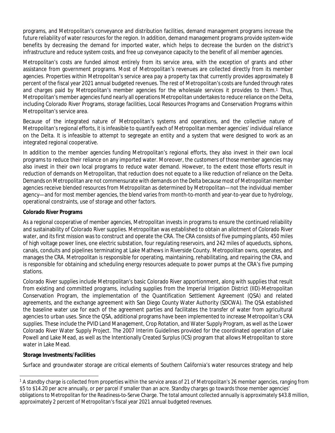programs, and Metropolitan's conveyance and distribution facilities, demand management programs increase the future reliability of water resources for the region. In addition, demand management programs provide system-wide benefits by decreasing the demand for imported water, which helps to decrease the burden on the district's infrastructure and reduce system costs, and free up conveyance capacity to the benefit of all member agencies.

Metropolitan's costs are funded almost entirely from its service area, with the exception of grants and other assistance from government programs. Most of Metropolitan's revenues are collected directly from its member agencies. Properties within Metropolitan's service area pay a property tax that currently provides approximately 8 percent of the fiscal year 2021 annual budgeted revenues. The rest of Metropolitan's costs are funded through rates and charges paid by Metropolitan's member agencies for the wholesale services it provides to them.<sup>1</sup> Thus, Metropolitan's member agencies fund nearly all operations Metropolitan undertakes to reduce reliance on the Delta, including Colorado River Programs, storage facilities, Local Resources Programs and Conservation Programs within Metropolitan's service area.

Because of the integrated nature of Metropolitan's systems and operations, and the collective nature of Metropolitan's regional efforts, it isinfeasible to quantify each of Metropolitan member agencies' individual reliance on the Delta. It is infeasible to attempt to segregate an entity and a system that were designed to work as an integrated regional cooperative.

In addition to the member agencies funding Metropolitan's regional efforts, they also invest in their own local programs to reduce their reliance on any imported water. Moreover, the customers of those member agencies may also invest in their own local programs to reduce water demand. However, to the extent those efforts result in reduction of demands on Metropolitan, that reduction does not equate to a like reduction of reliance on the Delta. Demands on Metropolitan are not commensurate with demands on the Delta becausemost of Metropolitan member agencies receive blended resources from Metropolitan as determined by Metropolitan—not the individual member agency—and for most member agencies, the blend varies from month-to-month and year-to-year due to hydrology, operational constraints, use of storage and other factors.

#### **Colorado River Programs**

As a regional cooperative of member agencies, Metropolitan invests in programs to ensure the continued reliability and sustainability of Colorado River supplies. Metropolitan was established to obtain an allotment of Colorado River water, and its first mission was to construct and operate the CRA. The CRA consists of five pumping plants, 450 miles of high voltage power lines, one electric substation, four regulating reservoirs, and 242 miles of aqueducts, siphons, canals, conduits and pipelines terminating at Lake Mathews in Riverside County. Metropolitan owns, operates, and manages the CRA. Metropolitan is responsible for operating, maintaining, rehabilitating, and repairing the CRA, and is responsible for obtaining and scheduling energy resources adequate to power pumps at the CRA's five pumping stations.

Colorado River supplies include Metropolitan's basic Colorado River apportionment, along with supplies that result from existing and committed programs, including supplies from the Imperial Irrigation District (IID)-Metropolitan Conservation Program, the implementation of the Quantification Settlement Agreement (QSA) and related agreements, and the exchange agreement with San Diego County Water Authority (SDCWA). The QSA established the baseline water use for each of the agreement parties and facilitates the transfer of water from agricultural agencies to urban uses. Since the QSA, additional programs have been implemented to increase Metropolitan's CRA supplies. These include the PVID Land Management, Crop Rotation, and Water Supply Program, as well as the Lower Colorado River Water Supply Project. The 2007 Interim Guidelines provided for the coordinated operation of Lake Powell and Lake Mead, as well as the Intentionally Created Surplus (ICS) program that allows Metropolitan to store water in Lake Mead.

#### **Storage Investments/Facilities**

Surface and groundwater storage are critical elements of Southern California's water resources strategy and help

<sup>&</sup>lt;sup>1</sup> A standby charge is collected from properties within the service areas of 21 of Metropolitan's 26 member agencies, ranging from \$5 to \$14.20 per acre annually, or per parcel if smaller than an acre. Standby charges go towards those member agencies' obligations to Metropolitan for the Readiness-to-Serve Charge. The total amount collected annually is approximately \$43.8 million, approximately 2 percent of Metropolitan's fiscal year 2021 annual budgeted revenues.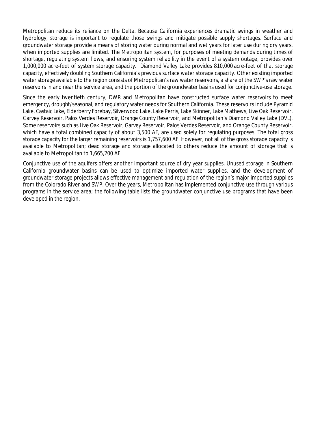Metropolitan reduce its reliance on the Delta. Because California experiences dramatic swings in weather and hydrology, storage is important to regulate those swings and mitigate possible supply shortages. Surface and groundwater storage provide a means of storing water during normal and wet years for later use during dry years, when imported supplies are limited. The Metropolitan system, for purposes of meeting demands during times of shortage, regulating system flows, and ensuring system reliability in the event of a system outage, provides over 1,000,000 acre-feet of system storage capacity. Diamond Valley Lake provides 810,000 acre-feet of that storage capacity, effectively doubling Southern California's previous surface water storage capacity. Other existing imported water storage available to the region consists of Metropolitan's raw water reservoirs, a share of the SWP's raw water reservoirs in and near the service area, and the portion of the groundwater basins used for conjunctive-use storage.

Since the early twentieth century, DWR and Metropolitan have constructed surface water reservoirs to meet emergency, drought/seasonal, and regulatory water needs for Southern California. These reservoirs include Pyramid Lake, Castaic Lake, Elderberry Forebay, Silverwood Lake, Lake Perris, Lake Skinner, Lake Mathews, Live Oak Reservoir, Garvey Reservoir, Palos Verdes Reservoir, Orange County Reservoir, and Metropolitan's Diamond Valley Lake (DVL). Some reservoirs such as Live Oak Reservoir, Garvey Reservoir, Palos Verdes Reservoir, and Orange County Reservoir, which have a total combined capacity of about 3,500 AF, are used solely for regulating purposes. The total gross storage capacity for the larger remaining reservoirs is 1,757,600 AF. However, not all of the gross storage capacity is available to Metropolitan; dead storage and storage allocated to others reduce the amount of storage that is available to Metropolitan to 1,665,200 AF.

Conjunctive use of the aquifers offers another important source of dry year supplies. Unused storage in Southern California groundwater basins can be used to optimize imported water supplies, and the development of groundwater storage projects allows effective management and regulation of the region's major imported supplies from the Colorado River and SWP. Over the years, Metropolitan has implemented conjunctive use through various programs in the service area; the following table lists the groundwater conjunctive use programs that have been developed in the region.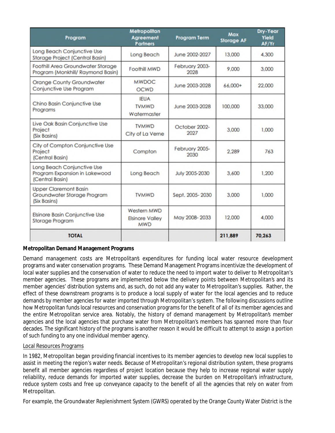| Program                                                                        | Metropolitan<br>Agreement<br><b>Partners</b>        | <b>Program Term</b>    | Max<br><b>Storage AF</b> | Dry-Year<br>Yield<br>AF/Yr |
|--------------------------------------------------------------------------------|-----------------------------------------------------|------------------------|--------------------------|----------------------------|
| Long Beach Conjunctive Use<br><b>Storage Project (Central Basin)</b>           | Long Beach                                          | June 2002-2027         | 13,000                   | 4,300                      |
| Foothill Area Groundwater Storage<br>Program (Monkhill/ Raymond Basin)         | Foothill MWD                                        | February 2003-<br>2028 | 9.000                    | 3,000                      |
| <b>Orange County Groundwater</b><br>Conjunctive Use Program                    | <b>MWDOC</b><br><b>OCWD</b>                         | June 2003-2028         | 66,000+                  | 22,000                     |
| Chino Basin Conjunctive Use<br>Programs                                        | <b>IEUA</b><br><b>TVMWD</b><br>Watermaster          | June 2003-2028         | 100,000                  | 33,000                     |
| Live Oak Basin Conjunctive Use<br>Project<br>(Six Basins)                      | <b>TVMWD</b><br>City of La Verne                    | October 2002-<br>2027  | 3.000                    | 1,000                      |
| City of Compton Conjunctive Use<br>Project<br>(Central Basin)                  | Compton                                             | February 2005-<br>2030 | 2.289                    | 763                        |
| Long Beach Conjunctive Use<br>Program Expansion in Lakewood<br>(Central Basin) | Long Beach                                          | July 2005-2030         | 3.600                    | 1.200                      |
| <b>Upper Claremont Basin</b><br>Groundwater Storage Program<br>(Six Basins)    | <b>TVMWD</b>                                        | Sept. 2005-2030        | 3.000                    | 1,000                      |
| <b>Elsinore Basin Conjunctive Use</b><br><b>Storage Program</b>                | Western MWD<br><b>Elsinore Valley</b><br><b>MWD</b> | May 2008-2033          | 12,000                   | 4.000                      |
| <b>TOTAL</b>                                                                   |                                                     |                        | 211,889                  | 70,263                     |

#### **Metropolitan Demand Management Programs**

Demand management costs are Metropolitan's expenditures for funding local water resource development programs and water conservation programs. These Demand Management Programs incentivize the development of local water supplies and the conservation of water to reduce the need to import water to deliver to Metropolitan's member agencies. These programs are implemented below the delivery points between Metropolitan's and its member agencies' distribution systems and, as such, do not add any water to Metropolitan's supplies. Rather, the effect of these downstream programs is to produce a local supply of water for the local agencies and to reduce demands by member agencies for water imported through Metropolitan's system. The following discussions outline how Metropolitan funds local resources and conservation programs for the benefit of all of its member agencies and the entire Metropolitan service area. Notably, the history of demand management by Metropolitan's member agencies and the local agencies that purchase water from Metropolitan's members has spanned more than four decades. The significant history of the programs is another reason it would be difficult to attempt to assign a portion of such funding to any one individual member agency.

#### Local Resources Programs

In 1982, Metropolitan began providing financial incentives to its member agencies to develop new local supplies to assist in meeting the region's water needs. Because of Metropolitan's regional distribution system, these programs benefit all member agencies regardless of project location because they help to increase regional water supply reliability, reduce demands for imported water supplies, decrease the burden on Metropolitan's infrastructure, reduce system costs and free up conveyance capacity to the benefit of all the agencies that rely on water from Metropolitan.

For example, the Groundwater Replenishment System (GWRS) operated by the Orange County Water District is the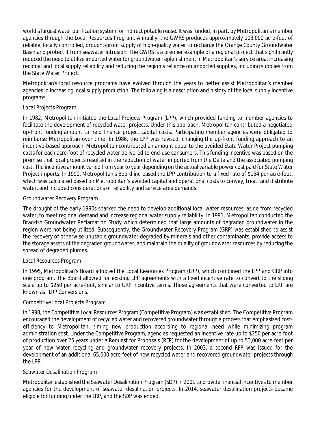world'slargest water purification system for indirect potable reuse. It was funded, in part, by Metropolitan's member agencies through the Local Resources Program. Annually, the GWRS produces approximately 103,000 acre-feet of reliable, locally controlled, drought-proof supply of high-quality water to recharge the Orange County Groundwater Basin and protect it from seawater intrusion. The GWRS is a premier example of a regional project that significantly reduced the need to utilize imported water for groundwater replenishment in Metropolitan's service area, increasing regional and local supply reliability and reducing the region's reliance on imported supplies, including supplies from the State Water Project.

Metropolitan's local resource programs have evolved through the years to better assist Metropolitan's member agencies in increasing local supply production. The following is a description and history of the local supply incentive programs.

#### *Local Projects Program*

In 1982, Metropolitan initiated the Local Projects Program (LPP), which provided funding to member agencies to facilitate the development of recycled water projects. Under this approach, Metropolitan contributed a negotiated up-front funding amount to help finance project capital costs. Participating member agencies were obligated to reimburse Metropolitan over time. In 1986, the LPP was revised, changing the up-front funding approach to an incentive-based approach. Metropolitan contributed an amount equal to the avoided State Water Project pumping costs for each acre-foot of recycled water delivered to end-use consumers. This funding incentive was based on the premise that local projects resulted in the reduction of water imported from the Delta and the associated pumping cost. The incentive amount varied from year to year depending on the actual variable power cost paid for State Water Project imports. In 1990, Metropolitan's Board increased the LPP contribution to a fixed rate of \$154 per acre-foot, which was calculated based on Metropolitan's avoided capital and operational costs to convey, treat, and distribute water, and included considerations of reliability and service area demands.

#### *Groundwater Recovery Program*

The drought of the early 1990s sparked the need to develop additional local water resources, aside from recycled water, to meet regional demand and increase regional water supply reliability. In 1991, Metropolitan conducted the Brackish Groundwater Reclamation Study which determined that large amounts of degraded groundwater in the region were not being utilized. Subsequently, the Groundwater Recovery Program (GRP) was established to assist the recovery of otherwise unusable groundwater degraded by minerals and other contaminants, provide access to the storage assets of the degraded groundwater, and maintain the quality of groundwater resources by reducing the spread of degraded plumes.

#### *Local Resources Program*

In 1995, Metropolitan's Board adopted the Local Resources Program (LRP), which combined the LPP and GRP into one program. The Board allowed for existing LPP agreements with a fixed incentive rate to convert to the sliding scale up to \$250 per acre-foot, similar to GRP incentive terms. Those agreements that were converted to LRP are known as "LRP Conversions."

#### *Competitive Local Projects Program*

In 1998, the Competitive Local Resources Program (Competitive Program) was established. The Competitive Program encouraged the development of recycled water and recovered groundwater through a processthat emphasized costefficiency to Metropolitan, timing new production according to regional need while minimizing program administration cost. Under the Competitive Program, agencies requested an incentive rate up to \$250 per acre-foot of production over 25 years under a Request for Proposals (RFP) for the development of up to 53,000 acre-feet per year of new water recycling and groundwater recovery projects. In 2003, a second RFP was issued for the development of an additional 65,000 acre-feet of new recycled water and recovered groundwater projects through the LRP.

#### *Seawater Desalination Program*

Metropolitan established the Seawater Desalination Program (SDP) in 2001 to provide financial incentivesto member agencies for the development of seawater desalination projects. In 2014, seawater desalination projects became eligible for funding under the LRP, and the SDP was ended.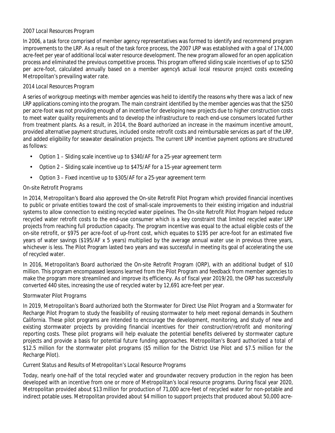#### *2007 Local Resources Program*

In 2006, a task force comprised of member agency representatives was formed to identify and recommend program improvements to the LRP. As a result of the task force process, the 2007 LRP was established with a goal of 174,000 acre-feet per year of additional local water resource development. The new program allowed for an open application process and eliminated the previous competitive process. This program offered sliding scale incentives of up to \$250 per acre-foot, calculated annually based on a member agency's actual local resource project costs exceeding Metropolitan's prevailing water rate.

#### *2014 Local Resources Program*

A series of workgroup meetings with member agencies was held to identify the reasons why there was a lack of new LRP applications coming into the program. The main constraint identified by the member agencies was that the \$250 per acre-foot was not providing enough of an incentive for developing new projects due to higher construction costs to meet water quality requirements and to develop the infrastructure to reach end-use consumers located further from treatment plants. As a result, in 2014, the Board authorized an increase in the maximum incentive amount, provided alternative payment structures, included onsite retrofit costs and reimbursable services as part of the LRP, and added eligibility for seawater desalination projects. The current LRP incentive payment options are structured as follows:

- Option 1 Sliding scale incentive up to \$340/AF for a 25-year agreement term
- Option 2 Sliding scale incentive up to \$475/AF for a 15-year agreement term
- Option 3 Fixed incentive up to \$305/AF for a 25-year agreement term

#### *On-site Retrofit Programs*

In 2014, Metropolitan's Board also approved the On-site Retrofit Pilot Program which provided financial incentives to public or private entities toward the cost of small-scale improvements to their existing irrigation and industrial systems to allow connection to existing recycled water pipelines. The On-site Retrofit Pilot Program helped reduce recycled water retrofit costs to the end-use consumer which is a key constraint that limited recycled water LRP projects from reaching full production capacity. The program incentive was equal to the actual eligible costs of the on-site retrofit, or \$975 per acre-foot of up-front cost, which equates to \$195 per acre-foot for an estimated five years of water savings (\$195/AF x 5 years) multiplied by the average annual water use in previous three years, whichever is less. The Pilot Program lasted two years and was successful in meeting its goal of accelerating the use of recycled water.

In 2016, Metropolitan's Board authorized the On-site Retrofit Program (ORP), with an additional budget of \$10 million. This program encompassed lessons learned from the Pilot Program and feedback from member agencies to make the program more streamlined and improve its efficiency. As of fiscal year 2019/20, the ORP has successfully converted 440 sites, increasing the use of recycled water by 12,691 acre-feet per year.

#### *Stormwater Pilot Programs*

In 2019, Metropolitan's Board authorized both the Stormwater for Direct Use Pilot Program and a Stormwater for Recharge Pilot Program to study the feasibility of reusing stormwater to help meet regional demands in Southern California. These pilot programs are intended to encourage the development, monitoring, and study of new and existing stormwater projects by providing financial incentives for their construction/retrofit and monitoring/ reporting costs. These pilot programs will help evaluate the potential benefits delivered by stormwater capture projects and provide a basis for potential future funding approaches. Metropolitan's Board authorized a total of \$12.5 million for the stormwater pilot programs (\$5 million for the District Use Pilot and \$7.5 million for the Recharge Pilot).

#### *Current Status and Results of Metropolitan's Local Resource Programs*

Today, nearly one-half of the total recycled water and groundwater recovery production in the region has been developed with an incentive from one or more of Metropolitan's local resource programs. During fiscal year 2020, Metropolitan provided about \$13 million for production of 71,000 acre-feet of recycled water for non-potable and indirect potable uses. Metropolitan provided about \$4 million to support projects that produced about 50,000 acre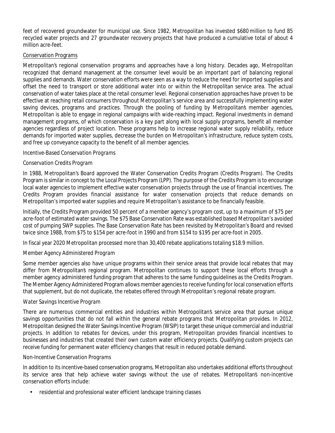feet of recovered groundwater for municipal use. Since 1982, Metropolitan has invested \$680 million to fund 85 recycled water projects and 27 groundwater recovery projects that have produced a cumulative total of about 4 million acre-feet.

#### Conservation Programs

Metropolitan's regional conservation programs and approaches have a long history. Decades ago, Metropolitan recognized that demand management at the consumer level would be an important part of balancing regional supplies and demands. Water conservation efforts were seen as a way to reduce the need for imported supplies and offset the need to transport or store additional water into or within the Metropolitan service area. The actual conservation of water takes place at the retail consumer level. Regional conservation approaches have proven to be effective at reaching retail consumers throughout Metropolitan's service area and successfully implementing water saving devices, programs and practices. Through the pooling of funding by Metropolitan's member agencies, Metropolitan is able to engage in regional campaigns with wide-reaching impact. Regional investments in demand management programs, of which conservation is a key part along with local supply programs, benefit all member agencies regardless of project location. These programs help to increase regional water supply reliability, reduce demands for imported water supplies, decrease the burden on Metropolitan's infrastructure, reduce system costs, and free up conveyance capacity to the benefit of all member agencies.

#### *Incentive-Based Conservation Programs*

#### *Conservation Credits Program*

In 1988, Metropolitan's Board approved the Water Conservation Credits Program (Credits Program). The Credits Program is similar in concept to the Local Projects Program (LPP). The purpose of the Credits Program is to encourage local water agencies to implement effective water conservation projects through the use of financial incentives. The Credits Program provides financial assistance for water conservation projects that reduce demands on Metropolitan's imported water supplies and require Metropolitan's assistance to be financially feasible.

Initially, the Credits Program provided 50 percent of a member agency's program cost, up to a maximum of \$75 per acre-foot of estimated water savings. The \$75 Base Conservation Rate was established based Metropolitan's avoided cost of pumping SWP supplies. The Base Conservation Rate has been revisited by Metropolitan's Board and revised twice since 1988, from \$75 to \$154 per acre-foot in 1990 and from \$154 to \$195 per acre-foot in 2005.

In fiscal year 2020 Metropolitan processed more than 30,400 rebate applications totaling \$18.9 million.

#### *Member Agency Administered Program*

Some member agencies also have unique programs within their service areas that provide local rebates that may differ from Metropolitan's regional program. Metropolitan continues to support these local efforts through a member agency administered funding program that adheres to the same funding guidelines as the Credits Program. The Member Agency Administered Program allows member agenciesto receive funding for local conservation efforts that supplement, but do not duplicate, the rebates offered through Metropolitan's regional rebate program.

#### *Water Savings Incentive Program*

There are numerous commercial entities and industries within Metropolitan's service area that pursue unique savings opportunities that do not fall within the general rebate programs that Metropolitan provides. In 2012, Metropolitan designed the Water Savings Incentive Program (WSIP) to target these unique commercial and industrial projects. In addition to rebates for devices, under this program, Metropolitan provides financial incentives to businesses and industries that created their own custom water efficiency projects. Qualifying custom projects can receive funding for permanent water efficiency changes that result in reduced potable demand.

#### *Non-Incentive Conservation Programs*

In addition to its incentive-based conservation programs, Metropolitan also undertakes additional efforts throughout its service area that help achieve water savings without the use of rebates. Metropolitan's non-incentive conservation efforts include:

• residential and professional water efficient landscape training classes